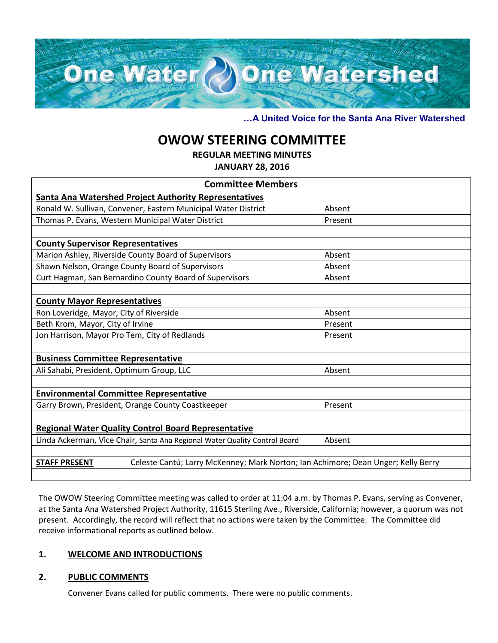

**…A United Voice for the Santa Ana River Watershed**

# **OWOW STEERING COMMITTEE**

**REGULAR MEETING MINUTES**

**JANUARY 28, 2016**

| <b>Committee Members</b>                                                   |                                                                                   |         |  |  |
|----------------------------------------------------------------------------|-----------------------------------------------------------------------------------|---------|--|--|
| <b>Santa Ana Watershed Project Authority Representatives</b>               |                                                                                   |         |  |  |
| Ronald W. Sullivan, Convener, Eastern Municipal Water District             |                                                                                   | Absent  |  |  |
| Thomas P. Evans, Western Municipal Water District                          |                                                                                   | Present |  |  |
|                                                                            |                                                                                   |         |  |  |
| <b>County Supervisor Representatives</b>                                   |                                                                                   |         |  |  |
| Marion Ashley, Riverside County Board of Supervisors                       |                                                                                   | Absent  |  |  |
| Shawn Nelson, Orange County Board of Supervisors                           |                                                                                   | Absent  |  |  |
| Curt Hagman, San Bernardino County Board of Supervisors                    |                                                                                   | Absent  |  |  |
|                                                                            |                                                                                   |         |  |  |
| <b>County Mayor Representatives</b>                                        |                                                                                   |         |  |  |
| Ron Loveridge, Mayor, City of Riverside                                    |                                                                                   | Absent  |  |  |
| Beth Krom, Mayor, City of Irvine                                           |                                                                                   | Present |  |  |
| Jon Harrison, Mayor Pro Tem, City of Redlands                              |                                                                                   | Present |  |  |
|                                                                            |                                                                                   |         |  |  |
| <b>Business Committee Representative</b>                                   |                                                                                   |         |  |  |
| Ali Sahabi, President, Optimum Group, LLC                                  |                                                                                   | Absent  |  |  |
|                                                                            |                                                                                   |         |  |  |
| <b>Environmental Committee Representative</b>                              |                                                                                   |         |  |  |
| Garry Brown, President, Orange County Coastkeeper                          |                                                                                   | Present |  |  |
|                                                                            |                                                                                   |         |  |  |
| <b>Regional Water Quality Control Board Representative</b>                 |                                                                                   |         |  |  |
| Linda Ackerman, Vice Chair, Santa Ana Regional Water Quality Control Board |                                                                                   | Absent  |  |  |
|                                                                            |                                                                                   |         |  |  |
| <b>STAFF PRESENT</b>                                                       | Celeste Cantú; Larry McKenney; Mark Norton; Ian Achimore; Dean Unger; Kelly Berry |         |  |  |
|                                                                            |                                                                                   |         |  |  |
|                                                                            |                                                                                   |         |  |  |

The OWOW Steering Committee meeting was called to order at 11:04 a.m. by Thomas P. Evans, serving as Convener, at the Santa Ana Watershed Project Authority, 11615 Sterling Ave., Riverside, California; however, a quorum was not present. Accordingly, the record will reflect that no actions were taken by the Committee. The Committee did receive informational reports as outlined below.

# **1. WELCOME AND INTRODUCTIONS**

## **2. PUBLIC COMMENTS**

Convener Evans called for public comments. There were no public comments.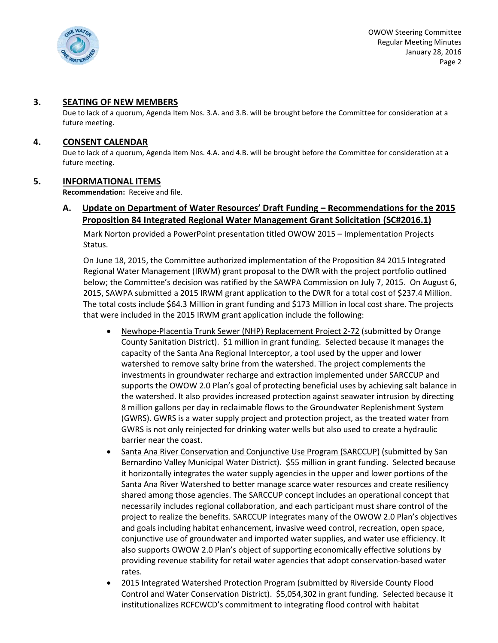

## **3. SEATING OF NEW MEMBERS**

Due to lack of a quorum, Agenda Item Nos. 3.A. and 3.B. will be brought before the Committee for consideration at a future meeting.

### **4. CONSENT CALENDAR**

Due to lack of a quorum, Agenda Item Nos. 4.A. and 4.B. will be brought before the Committee for consideration at a future meeting.

#### **5. INFORMATIONAL ITEMS**

**Recommendation:** Receive and file.

**A. Update on Department of Water Resources' Draft Funding – Recommendations for the 2015 Proposition 84 Integrated Regional Water Management Grant Solicitation (SC#2016.1)**

Mark Norton provided a PowerPoint presentation titled OWOW 2015 – Implementation Projects Status.

On June 18, 2015, the Committee authorized implementation of the Proposition 84 2015 Integrated Regional Water Management (IRWM) grant proposal to the DWR with the project portfolio outlined below; the Committee's decision was ratified by the SAWPA Commission on July 7, 2015. On August 6, 2015, SAWPA submitted a 2015 IRWM grant application to the DWR for a total cost of \$237.4 Million. The total costs include \$64.3 Million in grant funding and \$173 Million in local cost share. The projects that were included in the 2015 IRWM grant application include the following:

- Newhope-Placentia Trunk Sewer (NHP) Replacement Project 2-72 (submitted by Orange County Sanitation District). \$1 million in grant funding. Selected because it manages the capacity of the Santa Ana Regional Interceptor, a tool used by the upper and lower watershed to remove salty brine from the watershed. The project complements the investments in groundwater recharge and extraction implemented under SARCCUP and supports the OWOW 2.0 Plan's goal of protecting beneficial uses by achieving salt balance in the watershed. It also provides increased protection against seawater intrusion by directing 8 million gallons per day in reclaimable flows to the Groundwater Replenishment System (GWRS). GWRS is a water supply project and protection project, as the treated water from GWRS is not only reinjected for drinking water wells but also used to create a hydraulic barrier near the coast.
- Santa Ana River Conservation and Conjunctive Use Program (SARCCUP) (submitted by San Bernardino Valley Municipal Water District). \$55 million in grant funding. Selected because it horizontally integrates the water supply agencies in the upper and lower portions of the Santa Ana River Watershed to better manage scarce water resources and create resiliency shared among those agencies. The SARCCUP concept includes an operational concept that necessarily includes regional collaboration, and each participant must share control of the project to realize the benefits. SARCCUP integrates many of the OWOW 2.0 Plan's objectives and goals including habitat enhancement, invasive weed control, recreation, open space, conjunctive use of groundwater and imported water supplies, and water use efficiency. It also supports OWOW 2.0 Plan's object of supporting economically effective solutions by providing revenue stability for retail water agencies that adopt conservation-based water rates.
- 2015 Integrated Watershed Protection Program (submitted by Riverside County Flood Control and Water Conservation District). \$5,054,302 in grant funding. Selected because it institutionalizes RCFCWCD's commitment to integrating flood control with habitat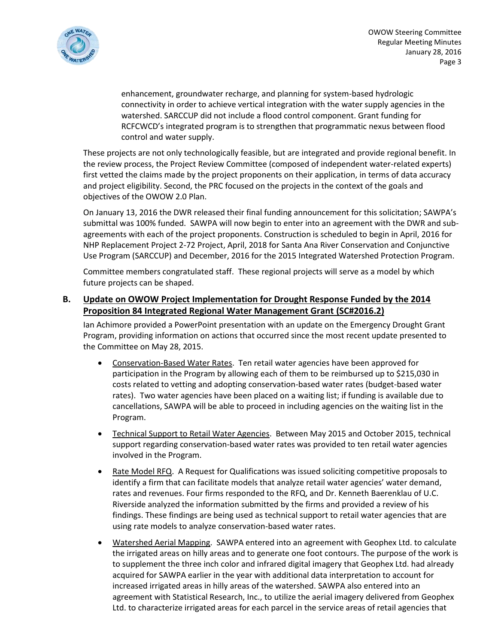

OWOW Steering Committee Regular Meeting Minutes January 28, 2016 Page 3

enhancement, groundwater recharge, and planning for system-based hydrologic connectivity in order to achieve vertical integration with the water supply agencies in the watershed. SARCCUP did not include a flood control component. Grant funding for RCFCWCD's integrated program is to strengthen that programmatic nexus between flood control and water supply.

These projects are not only technologically feasible, but are integrated and provide regional benefit. In the review process, the Project Review Committee (composed of independent water-related experts) first vetted the claims made by the project proponents on their application, in terms of data accuracy and project eligibility. Second, the PRC focused on the projects in the context of the goals and objectives of the OWOW 2.0 Plan.

On January 13, 2016 the DWR released their final funding announcement for this solicitation; SAWPA's submittal was 100% funded. SAWPA will now begin to enter into an agreement with the DWR and subagreements with each of the project proponents. Construction is scheduled to begin in April, 2016 for NHP Replacement Project 2-72 Project, April, 2018 for Santa Ana River Conservation and Conjunctive Use Program (SARCCUP) and December, 2016 for the 2015 Integrated Watershed Protection Program.

Committee members congratulated staff. These regional projects will serve as a model by which future projects can be shaped.

# **B. Update on OWOW Project Implementation for Drought Response Funded by the 2014 Proposition 84 Integrated Regional Water Management Grant (SC#2016.2)**

Ian Achimore provided a PowerPoint presentation with an update on the Emergency Drought Grant Program, providing information on actions that occurred since the most recent update presented to the Committee on May 28, 2015.

- Conservation-Based Water Rates. Ten retail water agencies have been approved for participation in the Program by allowing each of them to be reimbursed up to \$215,030 in costs related to vetting and adopting conservation-based water rates (budget-based water rates). Two water agencies have been placed on a waiting list; if funding is available due to cancellations, SAWPA will be able to proceed in including agencies on the waiting list in the Program.
- Technical Support to Retail Water Agencies. Between May 2015 and October 2015, technical support regarding conservation-based water rates was provided to ten retail water agencies involved in the Program.
- Rate Model RFQ. A Request for Qualifications was issued soliciting competitive proposals to identify a firm that can facilitate models that analyze retail water agencies' water demand, rates and revenues. Four firms responded to the RFQ, and Dr. Kenneth Baerenklau of U.C. Riverside analyzed the information submitted by the firms and provided a review of his findings. These findings are being used as technical support to retail water agencies that are using rate models to analyze conservation-based water rates.
- Watershed Aerial Mapping. SAWPA entered into an agreement with Geophex Ltd. to calculate the irrigated areas on hilly areas and to generate one foot contours. The purpose of the work is to supplement the three inch color and infrared digital imagery that Geophex Ltd. had already acquired for SAWPA earlier in the year with additional data interpretation to account for increased irrigated areas in hilly areas of the watershed. SAWPA also entered into an agreement with Statistical Research, Inc., to utilize the aerial imagery delivered from Geophex Ltd. to characterize irrigated areas for each parcel in the service areas of retail agencies that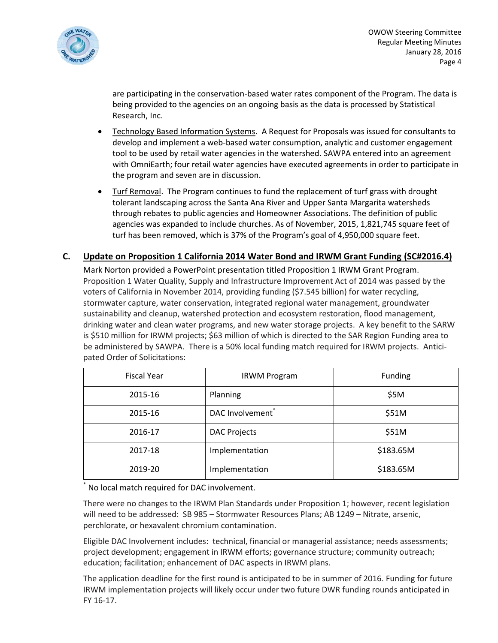

are participating in the conservation-based water rates component of the Program. The data is being provided to the agencies on an ongoing basis as the data is processed by Statistical Research, Inc.

- Technology Based Information Systems. A Request for Proposals was issued for consultants to develop and implement a web-based water consumption, analytic and customer engagement tool to be used by retail water agencies in the watershed. SAWPA entered into an agreement with OmniEarth; four retail water agencies have executed agreements in order to participate in the program and seven are in discussion.
- Turf Removal. The Program continues to fund the replacement of turf grass with drought tolerant landscaping across the Santa Ana River and Upper Santa Margarita watersheds through rebates to public agencies and Homeowner Associations. The definition of public agencies was expanded to include churches. As of November, 2015, 1,821,745 square feet of turf has been removed, which is 37% of the Program's goal of 4,950,000 square feet.

# **C. Update on Proposition 1 California 2014 Water Bond and IRWM Grant Funding (SC#2016.4)**

Mark Norton provided a PowerPoint presentation titled Proposition 1 IRWM Grant Program. Proposition 1 Water Quality, Supply and Infrastructure Improvement Act of 2014 was passed by the voters of California in November 2014, providing funding (\$7.545 billion) for water recycling, stormwater capture, water conservation, integrated regional water management, groundwater sustainability and cleanup, watershed protection and ecosystem restoration, flood management, drinking water and clean water programs, and new water storage projects. A key benefit to the SARW is \$510 million for IRWM projects; \$63 million of which is directed to the SAR Region Funding area to be administered by SAWPA. There is a 50% local funding match required for IRWM projects. Anticipated Order of Solicitations:

| <b>Fiscal Year</b> | <b>IRWM Program</b> | Funding   |
|--------------------|---------------------|-----------|
| 2015-16            | Planning            | \$5M      |
| 2015-16            | DAC Involvement     | \$51M     |
| 2016-17            | <b>DAC Projects</b> | \$51M     |
| 2017-18            | Implementation      | \$183.65M |
| 2019-20            | Implementation      | \$183.65M |

\* No local match required for DAC involvement.

There were no changes to the IRWM Plan Standards under Proposition 1; however, recent legislation will need to be addressed: SB 985 – Stormwater Resources Plans; AB 1249 – Nitrate, arsenic, perchlorate, or hexavalent chromium contamination.

Eligible DAC Involvement includes: technical, financial or managerial assistance; needs assessments; project development; engagement in IRWM efforts; governance structure; community outreach; education; facilitation; enhancement of DAC aspects in IRWM plans.

The application deadline for the first round is anticipated to be in summer of 2016. Funding for future IRWM implementation projects will likely occur under two future DWR funding rounds anticipated in FY 16-17.